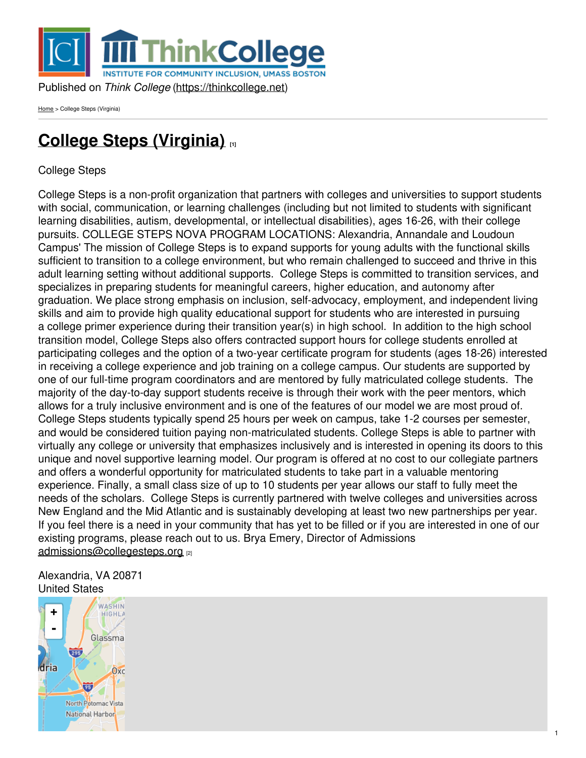

[Home](https://thinkcollege.net/) > College Steps (Virginia)

# **College Steps [\(Virginia\)](https://thinkcollege.net/programs/college-steps-virginia) [1]**

College Steps

College Steps is a non-profit organization that partners with colleges and universities to support students with social, communication, or learning challenges (including but not limited to students with significant learning disabilities, autism, developmental, or intellectual disabilities), ages 16-26, with their college pursuits. COLLEGE STEPS NOVA PROGRAM LOCATIONS: Alexandria, Annandale and Loudoun Campus' The mission of College Steps is to expand supports for young adults with the functional skills sufficient to transition to a college environment, but who remain challenged to succeed and thrive in this adult learning setting without additional supports. College Steps is committed to transition services, and specializes in preparing students for meaningful careers, higher education, and autonomy after graduation. We place strong emphasis on inclusion, self-advocacy, employment, and independent living skills and aim to provide high quality educational support for students who are interested in pursuing a college primer experience during their transition year(s) in high school. In addition to the high school transition model, College Steps also offers contracted support hours for college students enrolled at participating colleges and the option of a two-year certificate program for students (ages 18-26) interested in receiving a college experience and job training on a college campus. Our students are supported by one of our full-time program coordinators and are mentored by fully matriculated college students. The majority of the day-to-day support students receive is through their work with the peer mentors, which allows for a truly inclusive environment and is one of the features of our model we are most proud of. College Steps students typically spend 25 hours per week on campus, take 1-2 courses per semester, and would be considered tuition paying non-matriculated students. College Steps is able to partner with virtually any college or university that emphasizes inclusively and is interested in opening its doors to this unique and novel supportive learning model. Our program is offered at no cost to our collegiate partners and offers a wonderful opportunity for matriculated students to take part in a valuable mentoring experience. Finally, a small class size of up to 10 students per year allows our staff to fully meet the needs of the scholars. College Steps is currently partnered with twelve colleges and universities across New England and the Mid Atlantic and is sustainably developing at least two new partnerships per year. If you feel there is a need in your community that has yet to be filled or if you are interested in one of our existing programs, please reach out to us. Brya Emery, Director of Admissions [admissions@collegesteps.org](mailto:admissions@collegesteps.org) [2]

#### Alexandria, VA 20871 United States

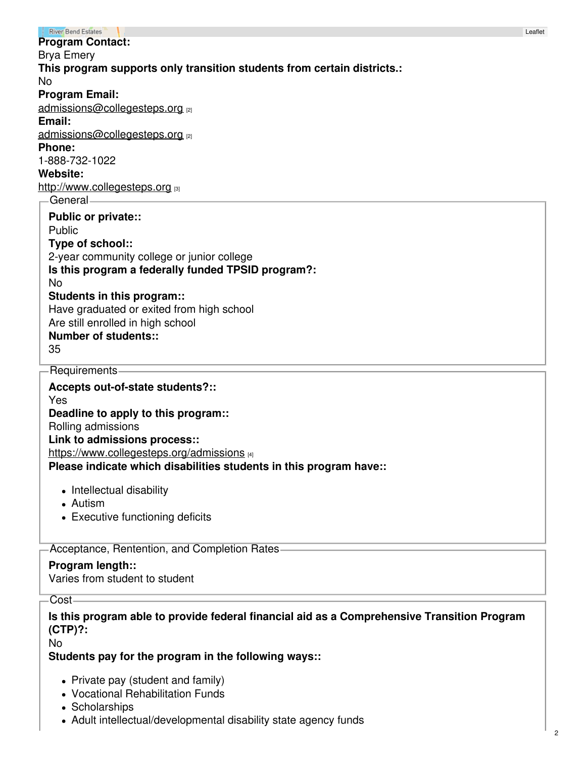| <b>River Bend Estates</b>                                               | Leat |
|-------------------------------------------------------------------------|------|
| <b>Program Contact:</b>                                                 |      |
| <b>Brya Emery</b>                                                       |      |
| This program supports only transition students from certain districts.: |      |
| <b>No</b>                                                               |      |
| <b>Program Email:</b>                                                   |      |
| admissions@collegesteps.org [2]                                         |      |
| Email:                                                                  |      |
| admissions@collegesteps.org [2]                                         |      |
| <b>Phone:</b>                                                           |      |
| 1-888-732-1022                                                          |      |
| Website:                                                                |      |
| http://www.collegesteps.org [3]                                         |      |
| General-                                                                |      |
| <b>Public or private::</b>                                              |      |
| Public                                                                  |      |
| Type of school::                                                        |      |
| 2-year community college or junior college                              |      |
| Is this program a federally funded TPSID program?:                      |      |
| <b>No</b>                                                               |      |
| Students in this program::                                              |      |
| Have graduated or exited from high school                               |      |
| Are still enrolled in high school                                       |      |
| <b>Number of students::</b>                                             |      |
| 35                                                                      |      |
| Requirements                                                            |      |
|                                                                         |      |
| Accepts out-of-state students?::                                        |      |
| Yes                                                                     |      |
| Deadline to apply to this program::                                     |      |
| Rolling admissions                                                      |      |
| Link to admissions process::                                            |      |
| https://www.collegesteps.org/admissions [4]                             |      |
| Please indicate which disabilities students in this program have::      |      |
| • Intellectual disability                                               |      |
|                                                                         |      |

- Autism
- Executive functioning deficits

Acceptance, Rentention, and Completion Rates

## **Program length::**

Varies from student to student

Cost

## **Is this program able to provide federal financial aid as a Comprehensive Transition Program (CTP)?:**

No

### **Students pay for the program in the following ways::**

- Private pay (student and family)
- Vocational Rehabilitation Funds
- Scholarships
- Adult intellectual/developmental disability state agency funds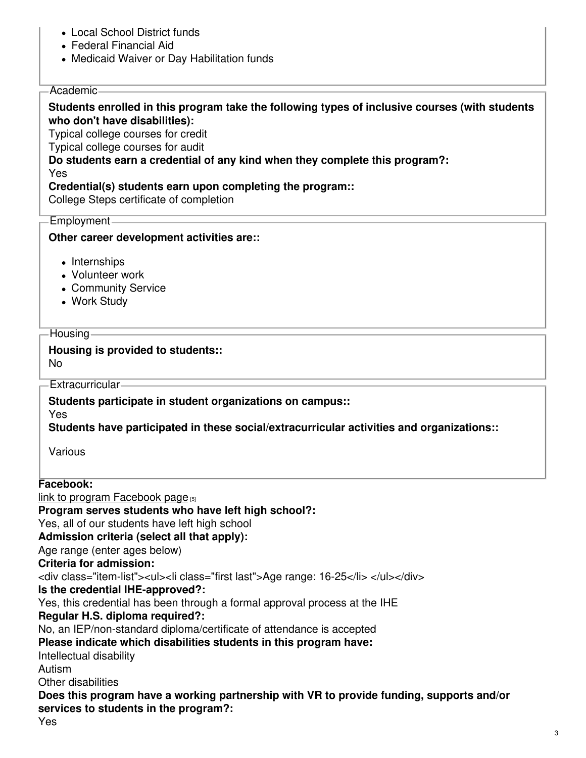- Local School District funds
- Federal Financial Aid
- Medicaid Waiver or Day Habilitation funds

#### Academic

#### **Students enrolled in this program take the following types of inclusive courses (with students who don't have disabilities):**

Typical college courses for credit

Typical college courses for audit

**Do students earn a credential of any kind when they complete this program?:** Yes

#### **Credential(s) students earn upon completing the program::**

College Steps certificate of completion

Employment

#### **Other career development activities are::**

- Internships
- Volunteer work
- Community Service
- Work Study

#### -Housing -

#### **Housing is provided to students::**

No

#### Extracurricular

**Students participate in student organizations on campus::**

Yes

**Students have participated in these social/extracurricular activities and organizations::**

Various

### **Facebook:**

link to program [Facebook](https://www.facebook.com/CollegeStepsProgram/) page  $[5]$ 

### **Program serves students who have left high school?:**

Yes, all of our students have left high school

## **Admission criteria (select all that apply):**

Age range (enter ages below)

## **Criteria for admission:**

<div class="item-list"><ul><li class="first last">Age range: 16-25</li> </ul></div>

## **Is the credential IHE-approved?:**

Yes, this credential has been through a formal approval process at the IHE

## **Regular H.S. diploma required?:**

No, an IEP/non-standard diploma/certificate of attendance is accepted

## **Please indicate which disabilities students in this program have:**

Intellectual disability

Autism

Other disabilities

## **Does this program have a working partnership with VR to provide funding, supports and/or services to students in the program?:**

Yes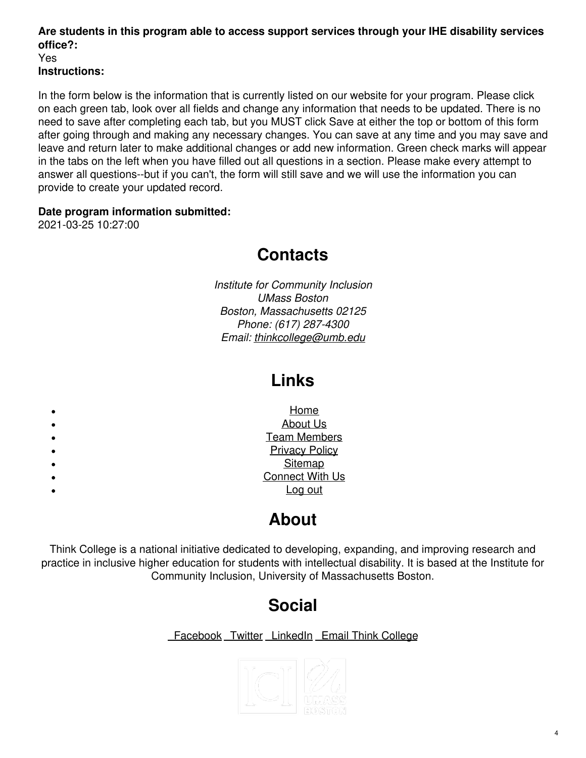#### **Are students in this program able to access support services through your IHE disability services office?:** Yes **Instructions:**

In the form below is the information that is currently listed on our website for your program. Please click on each green tab, look over all fields and change any information that needs to be updated. There is no need to save after completing each tab, but you MUST click Save at either the top or bottom of this form after going through and making any necessary changes. You can save at any time and you may save and leave and return later to make additional changes or add new information. Green check marks will appear in the tabs on the left when you have filled out all questions in a section. Please make every attempt to answer all questions--but if you can't, the form will still save and we will use the information you can provide to create your updated record.

### **Date program information submitted:**

2021-03-25 10:27:00

## **Contacts**

*Institute for Community Inclusion UMass Boston Boston, Massachusetts 02125 Phone: (617) 287-4300 Email: [thinkcollege@umb.edu](mailto:thinkcollege@umb.edu)*

## **Links**

| ٠         | Home                   |
|-----------|------------------------|
| $\bullet$ | <b>About Us</b>        |
| $\bullet$ | <b>Team Members</b>    |
| $\bullet$ | <b>Privacy Policy</b>  |
| $\bullet$ | Sitemap                |
| $\bullet$ | <b>Connect With Us</b> |
| ٠         | <u>Log out</u>         |
|           |                        |

## **About**

Think College is a national initiative dedicated to developing, expanding, and improving research and practice in inclusive higher education for students with intellectual disability. It is based at the Institute for Community Inclusion, University of Massachusetts Boston.

# **Social**

[Facebook](https://www.facebook.com/thinkcollege/) [Twitter](https://twitter.com/thinkcollegeICI) [LinkedIn](https://www.linkedin.com/company/think-college?trk=public_profile_experience-item_profile-section-card_subtitle-click) Email Think [College](mailto:thinkcollege@umb.edu)